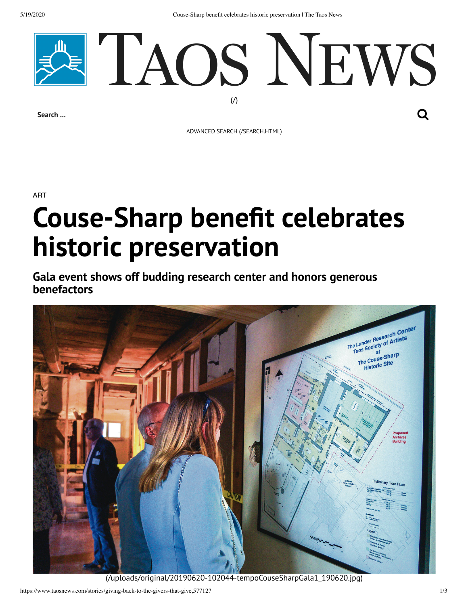5/19/2020 Couse-Sharp benefit celebrates historic preservation | The Taos News



**Search …**

ADVANCED SEARCH [\(/SEARCH.HTML\)](https://www.taosnews.com/search.html)

ART

## **Couse-Sharp benefit celebrates historic preservation**

**Gala event shows off budding research center and honors generous benefactors**



[\(/uploads/original/20190620-102044-tempoCouseSharpGala1\\_190620.jpg\)](https://www.taosnews.com/uploads/original/20190620-102044-tempoCouseSharpGala1_190620.jpg)

https://www.taosnews.com/stories/giving-back-to-the-givers-that-give,57712? 1/3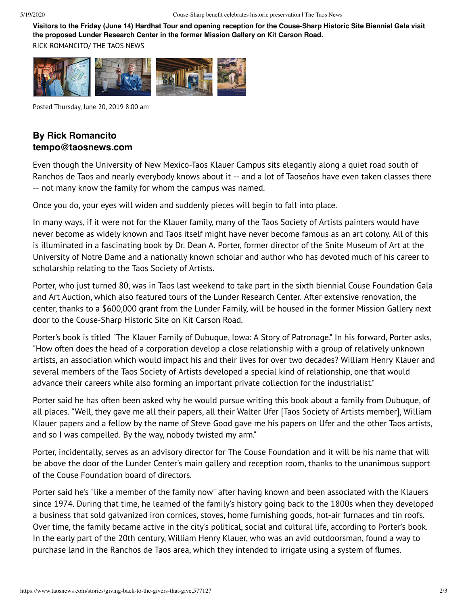**Visitors to the Friday (June 14) Hardhat Tour and opening reception for the Couse-Sharp Historic Site Biennial Gala visit the proposed Lunder Research Center in the former Mission Gallery on Kit Carson Road.**

RICK ROMANCITO/ THE TAOS NEWS



Posted Thursday, June 20, 2019 8:00 am

## **By Rick Romancito tempo@taosnews.com**

Even though the University of New Mexico-Taos Klauer Campus sits elegantly along a quiet road south of Ranchos de Taos and nearly everybody knows about it -- and a lot of Taoseños have even taken classes there -- not many know the family for whom the campus was named.

Once you do, your eyes will widen and suddenly pieces will begin to fall into place.

In many ways, if it were not for the Klauer family, many of the Taos Society of Artists painters would have never become as widely known and Taos itself might have never become famous as an art colony. All of this is illuminated in a fascinating book by Dr. Dean A. Porter, former director of the Snite Museum of Art at the University of Notre Dame and a nationally known scholar and author who has devoted much of his career to scholarship relating to the Taos Society of Artists.

Porter, who just turned 80, was in Taos last weekend to take part in the sixth biennial Couse Foundation Gala and Art Auction, which also featured tours of the Lunder Research Center. After extensive renovation, the center, thanks to a \$600,000 grant from the Lunder Family, will be housed in the former Mission Gallery next door to the Couse-Sharp Historic Site on Kit Carson Road.

Porter's book is titled "The Klauer Family of Dubuque, Iowa: A Story of Patronage." In his forward, Porter asks, "How often does the head of a corporation develop a close relationship with a group of relatively unknown artists, an association which would impact his and their lives for over two decades? William Henry Klauer and several members of the Taos Society of Artists developed a special kind of relationship, one that would advance their careers while also forming an important private collection for the industrialist."

Porter said he has often been asked why he would pursue writing this book about a family from Dubuque, of all places. "Well, they gave me all their papers, all their Walter Ufer [Taos Society of Artists member], William Klauer papers and a fellow by the name of Steve Good gave me his papers on Ufer and the other Taos artists, and so I was compelled. By the way, nobody twisted my arm."

Porter, incidentally, serves as an advisory director for The Couse Foundation and it will be his name that will be above the door of the Lunder Center's main gallery and reception room, thanks to the unanimous support of the Couse Foundation board of directors.

Porter said he's "like a member of the family now" after having known and been associated with the Klauers since 1974. During that time, he learned of the family's history going back to the 1800s when they developed a business that sold galvanized iron cornices, stoves, home furnishing goods, hot-air furnaces and tin roofs. Over time, the family became active in the city's political, social and cultural life, according to Porter's book. In the early part of the 20th century, William Henry Klauer, who was an avid outdoorsman, found a way to purchase land in the Ranchos de Taos area, which they intended to irrigate using a system of flumes.